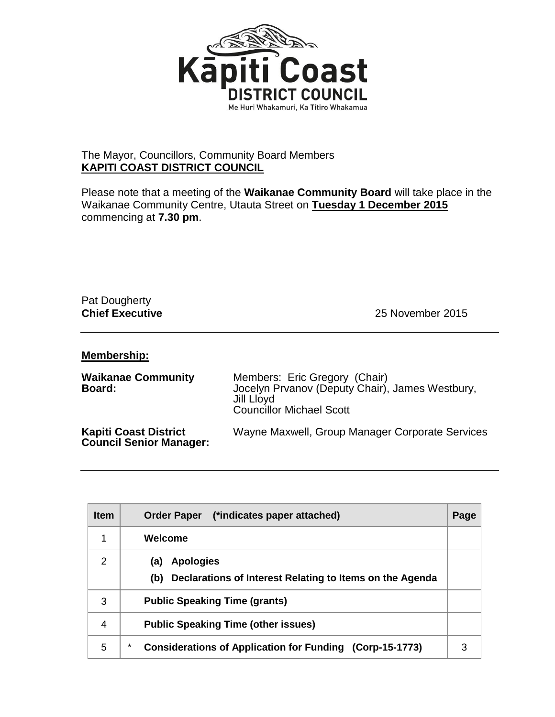

## The Mayor, Councillors, Community Board Members **KAPITI COAST DISTRICT COUNCIL**

Please note that a meeting of the **Waikanae Community Board** will take place in the Waikanae Community Centre, Utauta Street on **Tuesday 1 December 2015** commencing at **7.30 pm**.

## Pat Dougherty

**Chief Executive** 25 November 2015

## **Membership:**

| <b>Waikanae Community</b><br>Board:                            | Members: Eric Gregory (Chair)<br>Jocelyn Prvanov (Deputy Chair), James Westbury,<br>Jill Lloyd<br><b>Councillor Michael Scott</b> |
|----------------------------------------------------------------|-----------------------------------------------------------------------------------------------------------------------------------|
| <b>Kapiti Coast District</b><br><b>Council Senior Manager:</b> | Wayne Maxwell, Group Manager Corporate Services                                                                                   |

| <b>Item</b>   | Order Paper (*indicates paper attached)                                                    | Page |
|---------------|--------------------------------------------------------------------------------------------|------|
| 1             | Welcome                                                                                    |      |
| $\mathcal{P}$ | <b>Apologies</b><br>(a)<br>Declarations of Interest Relating to Items on the Agenda<br>(b) |      |
| 3             | <b>Public Speaking Time (grants)</b>                                                       |      |
| 4             | <b>Public Speaking Time (other issues)</b>                                                 |      |
| 5             | *<br><b>Considerations of Application for Funding (Corp-15-1773)</b>                       | 3    |